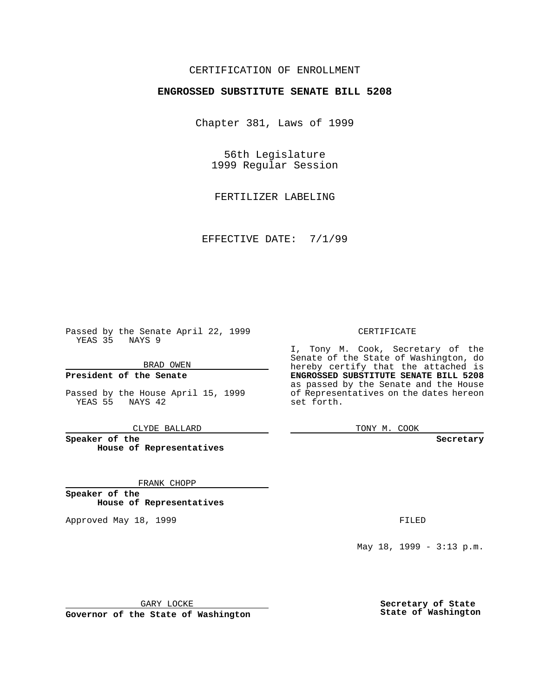### CERTIFICATION OF ENROLLMENT

# **ENGROSSED SUBSTITUTE SENATE BILL 5208**

Chapter 381, Laws of 1999

56th Legislature 1999 Regular Session

FERTILIZER LABELING

EFFECTIVE DATE: 7/1/99

Passed by the Senate April 22, 1999 YEAS 35 NAYS 9

BRAD OWEN

**President of the Senate**

Passed by the House April 15, 1999 YEAS 55 NAYS 42

CLYDE BALLARD

**Speaker of the House of Representatives**

FRANK CHOPP

**Speaker of the House of Representatives**

Approved May 18, 1999 **FILED** 

CERTIFICATE

I, Tony M. Cook, Secretary of the Senate of the State of Washington, do hereby certify that the attached is **ENGROSSED SUBSTITUTE SENATE BILL 5208** as passed by the Senate and the House of Representatives on the dates hereon set forth.

TONY M. COOK

**Secretary**

May 18, 1999 - 3:13 p.m.

GARY LOCKE

**Governor of the State of Washington**

**Secretary of State State of Washington**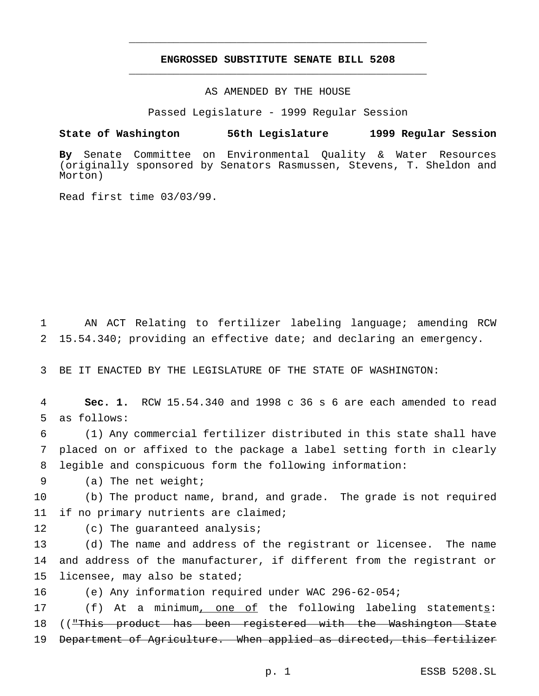## **ENGROSSED SUBSTITUTE SENATE BILL 5208** \_\_\_\_\_\_\_\_\_\_\_\_\_\_\_\_\_\_\_\_\_\_\_\_\_\_\_\_\_\_\_\_\_\_\_\_\_\_\_\_\_\_\_\_\_\_\_

\_\_\_\_\_\_\_\_\_\_\_\_\_\_\_\_\_\_\_\_\_\_\_\_\_\_\_\_\_\_\_\_\_\_\_\_\_\_\_\_\_\_\_\_\_\_\_

#### AS AMENDED BY THE HOUSE

Passed Legislature - 1999 Regular Session

#### **State of Washington 56th Legislature 1999 Regular Session**

**By** Senate Committee on Environmental Quality & Water Resources (originally sponsored by Senators Rasmussen, Stevens, T. Sheldon and Morton)

Read first time 03/03/99.

1 AN ACT Relating to fertilizer labeling language; amending RCW 2 15.54.340; providing an effective date; and declaring an emergency.

3 BE IT ENACTED BY THE LEGISLATURE OF THE STATE OF WASHINGTON:

4 **Sec. 1.** RCW 15.54.340 and 1998 c 36 s 6 are each amended to read 5 as follows:

6 (1) Any commercial fertilizer distributed in this state shall have 7 placed on or affixed to the package a label setting forth in clearly 8 legible and conspicuous form the following information:

9 (a) The net weight;

10 (b) The product name, brand, and grade. The grade is not required 11 if no primary nutrients are claimed;

12 (c) The quaranteed analysis;

13 (d) The name and address of the registrant or licensee. The name 14 and address of the manufacturer, if different from the registrant or 15 licensee, may also be stated;

16 (e) Any information required under WAC 296-62-054;

17 (f) At a minimum, one of the following labeling statements: 18 (("This product has been registered with the Washington State 19 Department of Agriculture. When applied as directed, this fertilizer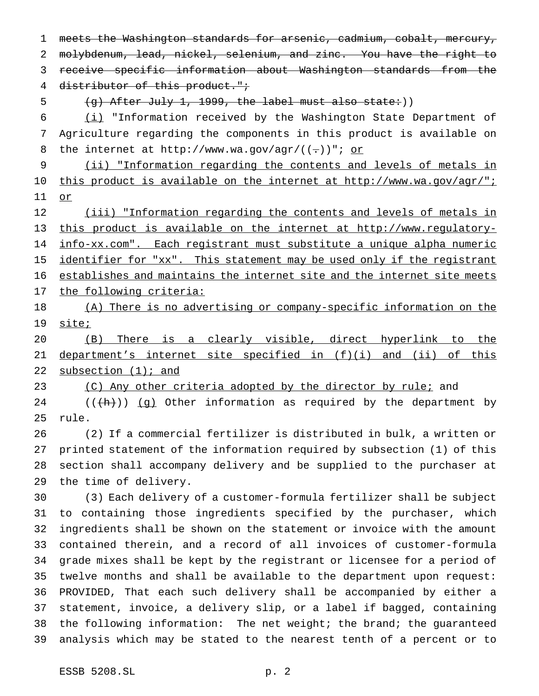meets the Washington standards for arsenic, cadmium, cobalt, mercury, molybdenum, lead, nickel, selenium, and zinc. You have the right to receive specific information about Washington standards from the 4 distributor of this product."; 5 (g) After July 1, 1999, the label must also state:) (i) "Information received by the Washington State Department of Agriculture regarding the components in this product is available on 8 the internet at http://www.wa.gov/agr/ $((-))$ "; or (ii) "Information regarding the contents and levels of metals in 10 this product is available on the internet at http://www.wa.gov/agr/"; or (iii) "Information regarding the contents and levels of metals in this product is available on the internet at http://www.regulatory- info-xx.com". Each registrant must substitute a unique alpha numeric 15 identifier for "xx". This statement may be used only if the registrant establishes and maintains the internet site and the internet site meets 17 the following criteria: (A) There is no advertising or company-specific information on the 19 site; (B) There is a clearly visible, direct hyperlink to the 21 department's internet site specified in (f)(i) and (ii) of this 22 subsection (1); and 23 (C) Any other criteria adopted by the director by rule; and 24 ( $(\hat{h})$ ) (g) Other information as required by the department by rule. (2) If a commercial fertilizer is distributed in bulk, a written or printed statement of the information required by subsection (1) of this section shall accompany delivery and be supplied to the purchaser at the time of delivery. (3) Each delivery of a customer-formula fertilizer shall be subject to containing those ingredients specified by the purchaser, which ingredients shall be shown on the statement or invoice with the amount contained therein, and a record of all invoices of customer-formula grade mixes shall be kept by the registrant or licensee for a period of twelve months and shall be available to the department upon request: PROVIDED, That each such delivery shall be accompanied by either a statement, invoice, a delivery slip, or a label if bagged, containing the following information: The net weight; the brand; the guaranteed analysis which may be stated to the nearest tenth of a percent or to ESSB 5208.SL p. 2